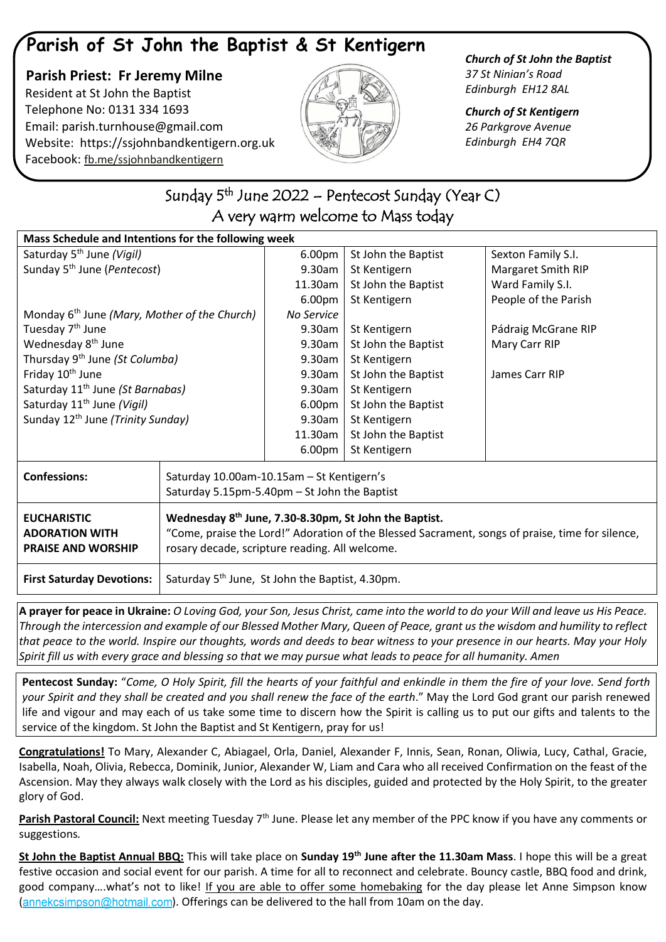## **Parish of St John the Baptist & St Kentigern**

 **Parish Priest: Fr Jeremy Milne** Resident at St John the Baptist Telephone No: 0131 334 1693 Email: [parish.turnhouse@gmail.com](mailto:parish.turnhouse@gmail.com)  Website: [https://ssjohnbandkentigern.org.uk](https://ssjohnbandkentigern.org.uk/) Facebook: [fb.me/ssjohnbandkentigern](https://fb.me/ssjohnbandkentigern)



*Church of St John the Baptist 37 St Ninian's Road Edinburgh EH12 8AL*

*Church of St Kentigern 26 Parkgrove Avenue Edinburgh EH4 7QR*

## j Sunday 5<sup>th</sup> June 2022 – Pentecost Sunday (Year C) A very warm welcome to Mass today

l,

| Mass Schedule and Intentions for the following week                      |                                                                                                                                                                                                                        |                    |                     |                      |
|--------------------------------------------------------------------------|------------------------------------------------------------------------------------------------------------------------------------------------------------------------------------------------------------------------|--------------------|---------------------|----------------------|
| Saturday 5 <sup>th</sup> June (Vigil)                                    |                                                                                                                                                                                                                        | 6.00pm             | St John the Baptist | Sexton Family S.I.   |
| Sunday 5 <sup>th</sup> June (Pentecost)                                  |                                                                                                                                                                                                                        | 9.30am             | St Kentigern        | Margaret Smith RIP   |
|                                                                          |                                                                                                                                                                                                                        | 11.30am            | St John the Baptist | Ward Family S.I.     |
|                                                                          |                                                                                                                                                                                                                        | 6.00pm             | St Kentigern        | People of the Parish |
| Monday 6 <sup>th</sup> June (Mary, Mother of the Church)                 |                                                                                                                                                                                                                        | No Service         |                     |                      |
| Tuesday 7 <sup>th</sup> June                                             |                                                                                                                                                                                                                        | 9.30am             | St Kentigern        | Pádraig McGrane RIP  |
| Wednesday 8 <sup>th</sup> June                                           |                                                                                                                                                                                                                        | 9.30am             | St John the Baptist | Mary Carr RIP        |
| Thursday 9 <sup>th</sup> June (St Columba)                               |                                                                                                                                                                                                                        | 9.30am             | St Kentigern        |                      |
| Friday 10 <sup>th</sup> June                                             |                                                                                                                                                                                                                        | 9.30am             | St John the Baptist | James Carr RIP       |
| Saturday 11 <sup>th</sup> June (St Barnabas)                             |                                                                                                                                                                                                                        | 9.30am             | St Kentigern        |                      |
| Saturday 11 <sup>th</sup> June (Vigil)                                   |                                                                                                                                                                                                                        | 6.00 <sub>pm</sub> | St John the Baptist |                      |
| Sunday 12 <sup>th</sup> June (Trinity Sunday)                            |                                                                                                                                                                                                                        | 9.30am             | St Kentigern        |                      |
|                                                                          |                                                                                                                                                                                                                        | 11.30am            | St John the Baptist |                      |
|                                                                          |                                                                                                                                                                                                                        | 6.00pm             | St Kentigern        |                      |
| <b>Confessions:</b>                                                      | Saturday 10.00am-10.15am - St Kentigern's<br>Saturday 5.15pm-5.40pm - St John the Baptist                                                                                                                              |                    |                     |                      |
| <b>EUCHARISTIC</b><br><b>ADORATION WITH</b><br><b>PRAISE AND WORSHIP</b> | Wednesday 8 <sup>th</sup> June, 7.30-8.30pm, St John the Baptist.<br>"Come, praise the Lord!" Adoration of the Blessed Sacrament, songs of praise, time for silence,<br>rosary decade, scripture reading. All welcome. |                    |                     |                      |
| <b>First Saturday Devotions:</b>                                         | Saturday 5 <sup>th</sup> June, St John the Baptist, 4.30pm.                                                                                                                                                            |                    |                     |                      |

**A prayer for peace in Ukraine:** *O Loving God, your Son, Jesus Christ, came into the world to do your Will and leave us His Peace. Through the intercession and example of our Blessed Mother Mary, Queen of Peace, grant us the wisdom and humility to reflect that peace to the world. Inspire our thoughts, words and deeds to bear witness to your presence in our hearts. May your Holy Spirit fill us with every grace and blessing so that we may pursue what leads to peace for all humanity. Amen*

**Pentecost Sunday:** "*Come, O Holy Spirit, fill the hearts of your faithful and enkindle in them the fire of your love. Send forth your Spirit and they shall be created and you shall renew the face of the earth*." May the Lord God grant our parish renewed life and vigour and may each of us take some time to discern how the Spirit is calling us to put our gifts and talents to the service of the kingdom. St John the Baptist and St Kentigern, pray for us!

**Congratulations!** To Mary, Alexander C, Abiagael, Orla, Daniel, Alexander F, Innis, Sean, Ronan, Oliwia, Lucy, Cathal, Gracie, Isabella, Noah, Olivia, Rebecca, Dominik, Junior, Alexander W, Liam and Cara who all received Confirmation on the feast of the Ascension. May they always walk closely with the Lord as his disciples, guided and protected by the Holy Spirit, to the greater glory of God.

Parish Pastoral Council: Next meeting Tuesday 7<sup>th</sup> June. Please let any member of the PPC know if you have any comments or suggestions*.*

**St John the Baptist Annual BBQ:** This will take place on **Sunday 19th June after the 11.30am Mass**. I hope this will be a great festive occasion and social event for our parish. A time for all to reconnect and celebrate. Bouncy castle, BBQ food and drink, good company....what's not to like! If you are able to offer some homebaking for the day please let Anne Simpson know  $(annekcsimpson@hotmail.com)$  $(annekcsimpson@hotmail.com)$ . Offerings can be delivered to the hall from 10am on the day.